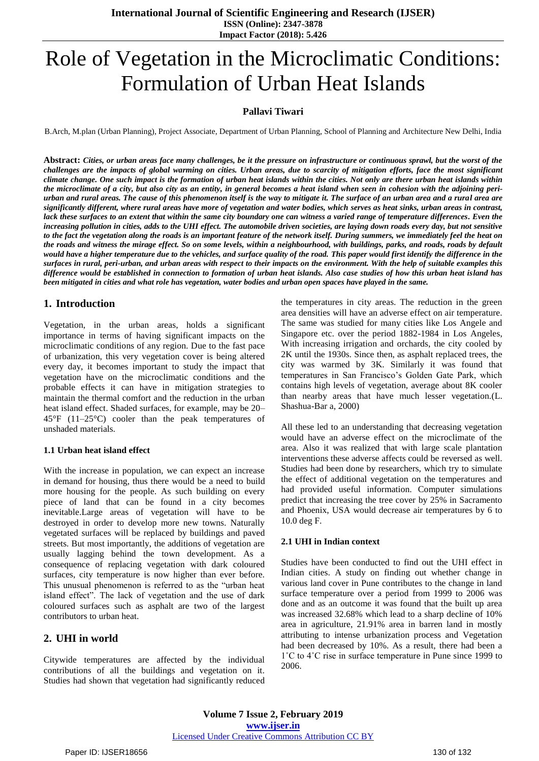**International Journal of Scientific Engineering and Research (IJSER) ISSN (Online): 2347-3878 Impact Factor (2018): 5.426**

# Role of Vegetation in the Microclimatic Conditions: Formulation of Urban Heat Islands

### **Pallavi Tiwari**

B.Arch, M.plan (Urban Planning), Project Associate, Department of Urban Planning, School of Planning and Architecture New Delhi, India

**Abstract:** *Cities, or urban areas face many challenges, be it the pressure on infrastructure or continuous sprawl, but the worst of the challenges are the impacts of global warming on cities. Urban areas, due to scarcity of mitigation efforts, face the most significant climate change. One such impact is the formation of urban heat islands within the cities. Not only are there urban heat islands within the microclimate of a city, but also city as an entity, in general becomes a heat island when seen in cohesion with the adjoining periurban and rural areas. The cause of this phenomenon itself is the way to mitigate it. The surface of an urban area and a rural area are significantly different, where rural areas have more of vegetation and water bodies, which serves as heat sinks, urban areas in contrast, lack these surfaces to an extent that within the same city boundary one can witness a varied range of temperature differences. Even the increasing pollution in cities, adds to the UHI effect. The automobile driven societies, are laying down roads every day, but not sensitive to the fact the vegetation along the roads is an important feature of the network itself. During summers, we immediately feel the heat on the roads and witness the mirage effect. So on some levels, within a neighbourhood, with buildings, parks, and roads, roads by default would have a higher temperature due to the vehicles, and surface quality of the road. This paper would first identify the difference in the surfaces in rural, peri-urban, and urban areas with respect to their impacts on the environment. With the help of suitable examples this difference would be established in connection to formation of urban heat islands. Also case studies of how this urban heat island has been mitigated in cities and what role has vegetation, water bodies and urban open spaces have played in the same.*

# **1. Introduction**

Vegetation, in the urban areas, holds a significant importance in terms of having significant impacts on the microclimatic conditions of any region. Due to the fast pace of urbanization, this very vegetation cover is being altered every day, it becomes important to study the impact that vegetation have on the microclimatic conditions and the probable effects it can have in mitigation strategies to maintain the thermal comfort and the reduction in the urban heat island effect. Shaded surfaces, for example, may be  $20-$ 45°F (11–25°C) cooler than the peak temperatures of unshaded materials.

#### **1.1 Urban heat island effect**

With the increase in population, we can expect an increase in demand for housing, thus there would be a need to build more housing for the people. As such building on every piece of land that can be found in a city becomes inevitable.Large areas of vegetation will have to be destroyed in order to develop more new towns. Naturally vegetated surfaces will be replaced by buildings and paved streets. But most importantly, the additions of vegetation are usually lagging behind the town development. As a consequence of replacing vegetation with dark coloured surfaces, city temperature is now higher than ever before. This unusual phenomenon is referred to as the "urban heat island effect". The lack of vegetation and the use of dark coloured surfaces such as asphalt are two of the largest contributors to urban heat.

# **2. UHI in world**

Citywide temperatures are affected by the individual contributions of all the buildings and vegetation on it. Studies had shown that vegetation had significantly reduced the temperatures in city areas. The reduction in the green area densities will have an adverse effect on air temperature. The same was studied for many cities like Los Angele and Singapore etc. over the period 1882-1984 in Los Angeles, With increasing irrigation and orchards, the city cooled by 2K until the 1930s. Since then, as asphalt replaced trees, the city was warmed by 3K. Similarly it was found that temperatures in San Francisco's Golden Gate Park, which contains high levels of vegetation, average about 8K cooler than nearby areas that have much lesser vegetation.(L. Shashua-Bar a, 2000)

All these led to an understanding that decreasing vegetation would have an adverse effect on the microclimate of the area. Also it was realized that with large scale plantation interventions these adverse affects could be reversed as well. Studies had been done by researchers, which try to simulate the effect of additional vegetation on the temperatures and had provided useful information. Computer simulations predict that increasing the tree cover by 25% in Sacramento and Phoenix, USA would decrease air temperatures by 6 to 10.0 deg F.

#### **2.1 UHI in Indian context**

Studies have been conducted to find out the UHI effect in Indian cities. A study on finding out whether change in various land cover in Pune contributes to the change in land surface temperature over a period from 1999 to 2006 was done and as an outcome it was found that the built up area was increased 32.68% which lead to a sharp decline of 10% area in agriculture, 21.91% area in barren land in mostly attributing to intense urbanization process and Vegetation had been decreased by 10%. As a result, there had been a 1˚C to 4˚C rise in surface temperature in Pune since 1999 to 2006.

**Volume 7 Issue 2, February 2019 www.ijser.in** Licensed Under Creative Commons Attribution CC BY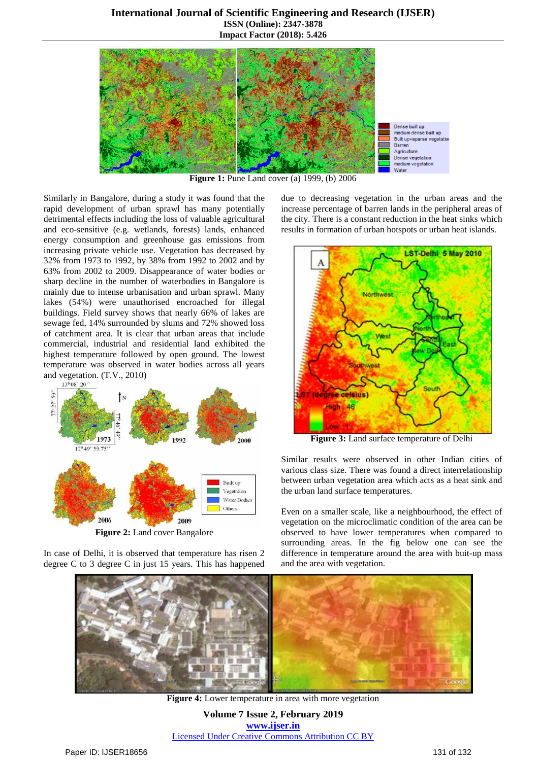

**Figure 1:** Pune Land cover (a) 1999, (b) 2006

Similarly in Bangalore, during a study it was found that the rapid development of urban sprawl has many potentially detrimental effects including the loss of valuable agricultural and eco-sensitive (e.g. wetlands, forests) lands, enhanced energy consumption and greenhouse gas emissions from increasing private vehicle use. Vegetation has decreased by 32% from 1973 to 1992, by 38% from 1992 to 2002 and by 63% from 2002 to 2009. Disappearance of water bodies or sharp decline in the number of waterbodies in Bangalore is mainly due to intense urbanisation and urban sprawl. Many lakes (54%) were unauthorised encroached for illegal buildings. Field survey shows that nearly 66% of lakes are sewage fed, 14% surrounded by slums and 72% showed loss of catchment area. It is clear that urban areas that include commercial, industrial and residential land exhibited the highest temperature followed by open ground. The lowest temperature was observed in water bodies across all years and vegetation. (T.V., 2010)



**Figure 2:** Land cover Bangalore

In case of Delhi, it is observed that temperature has risen 2 degree C to 3 degree C in just 15 years. This has happened due to decreasing vegetation in the urban areas and the increase percentage of barren lands in the peripheral areas of the city. There is a constant reduction in the heat sinks which results in formation of urban hotspots or urban heat islands.



**Figure 3:** Land surface temperature of Delhi

Similar results were observed in other Indian cities of various class size. There was found a direct interrelationship between urban vegetation area which acts as a heat sink and the urban land surface temperatures.

Even on a smaller scale, like a neighbourhood, the effect of vegetation on the microclimatic condition of the area can be observed to have lower temperatures when compared to surrounding areas. In the fig below one can see the difference in temperature around the area with buit-up mass and the area with vegetation.



**Figure 4:** Lower temperature in area with more vegetation

**Volume 7 Issue 2, February 2019 www.ijser.in** Licensed Under Creative Commons Attribution CC BY